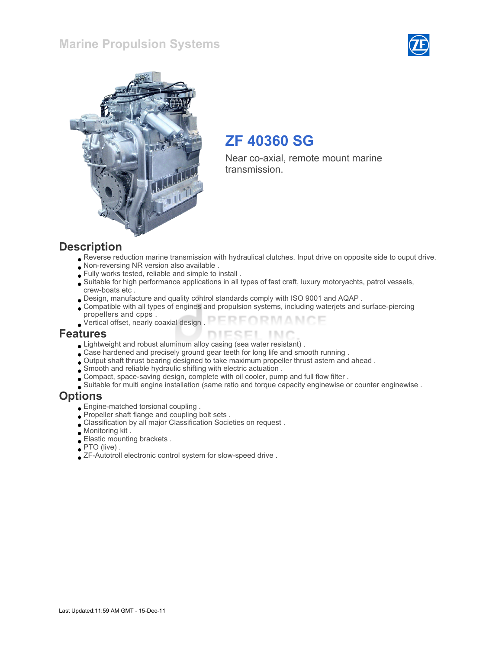#### Marine Propulsion Systems





## ZF 40360 SG

Near co-axial, remote mount marine transmission.

#### **Description**

- Reverse reduction marine transmission with hydraulical clutches. Input drive on opposite side to ouput drive.
- Non-reversing NR version also available .
- Fully works tested, reliable and simple to install .
- Suitable for high performance applications in all types of fast craft, luxury motoryachts, patrol vessels, crew-boats etc .
- Design, manufacture and quality control standards comply with ISO 9001 and AQAP .
- Compatible with all types of engines and propulsion systems, including waterjets and surface-piercing propellers and cpps .
- FORMANCE Vertical offset, nearly coaxial design .

#### Features

- Lightweight and robust aluminum alloy casing (sea water resistant) .
- Case hardened and precisely ground gear teeth for long life and smooth running .
- Output shaft thrust bearing designed to take maximum propeller thrust astern and ahead .
- Smooth and reliable hydraulic shifting with electric actuation .
- Compact, space-saving design, complete with oil cooler, pump and full flow filter .
- Suitable for multi engine installation (same ratio and torque capacity enginewise or counter enginewise .

#### **Options**

- Engine-matched torsional coupling .
- Propeller shaft flange and coupling bolt sets .
- Classification by all major Classification Societies on request .
- Monitoring kit .
- Elastic mounting brackets .
- PTO (live) .
- ZF-Autotroll electronic control system for slow-speed drive .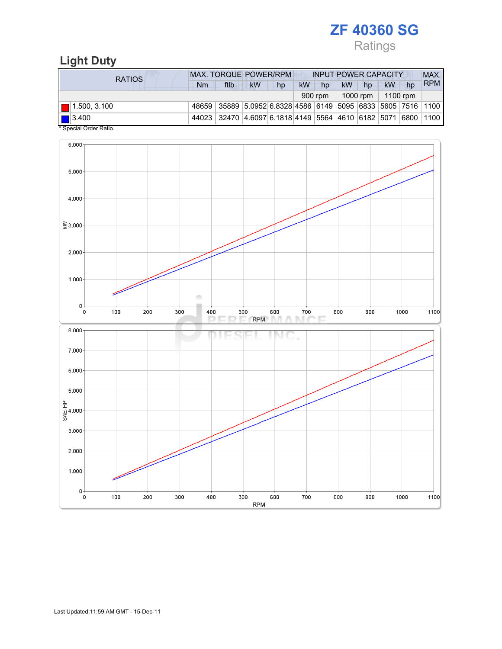# ZF 40360 SG

# Ratings

## Light Duty

| RATIOS                           | <b>MAX. TORQUE POWER/RPM</b><br><b>INPUT POWER CAPACITY</b>  |                                                              |           |    |    |         |           |                      |          | MAX. |            |
|----------------------------------|--------------------------------------------------------------|--------------------------------------------------------------|-----------|----|----|---------|-----------|----------------------|----------|------|------------|
|                                  | Nm                                                           | ftlb                                                         | <b>kW</b> | hp | kW | hp      | <b>kW</b> | hp                   | kW       | hp   | <b>RPM</b> |
|                                  |                                                              |                                                              |           |    |    | 900 rpm |           | 1000 rpm $\parallel$ | 1100 rpm |      |            |
| $  $ 1.500, 3.100                | 48659 35889 5.0952 6.8328 4586 6149 5095 6833 5605 7516 1100 |                                                              |           |    |    |         |           |                      |          |      |            |
| $\blacksquare$ 3.400<br>$\cdots$ |                                                              | 44023 32470 4.6097 6.1818 4149 5564 4610 6182 5071 6800 1100 |           |    |    |         |           |                      |          |      |            |

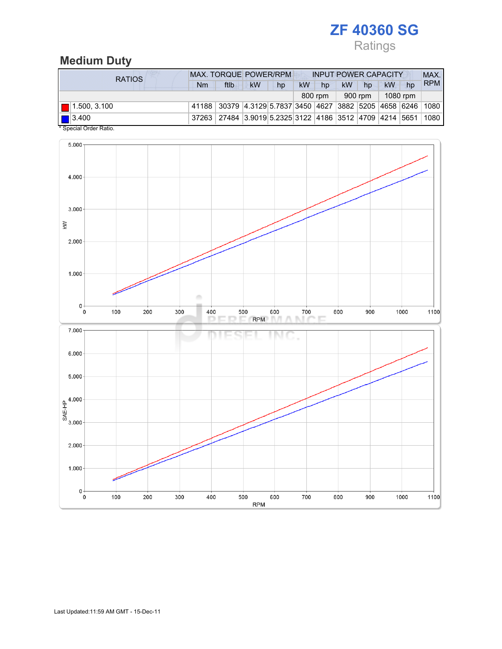# ZF 40360 SG

## Ratings

### Medium Duty

| <b>RATIOS</b>                          | <b>MAX. TORQUE POWER/RPM</b> |                                                              |    |    |           | <b>INPUT POWER CAPACITY</b> |    |         |          |    | MAX.       |
|----------------------------------------|------------------------------|--------------------------------------------------------------|----|----|-----------|-----------------------------|----|---------|----------|----|------------|
|                                        | Nm                           | ftlb                                                         | kW | hp | <b>kW</b> | hp                          | kW | hp      | kW       | hp | <b>RPM</b> |
|                                        |                              |                                                              |    |    |           | 800 rpm                     |    | 900 rpm | 1080 rpm |    |            |
| $\blacksquare$ 1.500, 3.100            |                              | 41188 30379 4.3129 5.7837 3450 4627 3882 5205 4658 6246 1080 |    |    |           |                             |    |         |          |    |            |
| $\left  \right $ 3.400<br><del>.</del> |                              | 37263 27484 3.9019 5.2325 3122 4186 3512 4709 4214 5651 1080 |    |    |           |                             |    |         |          |    |            |

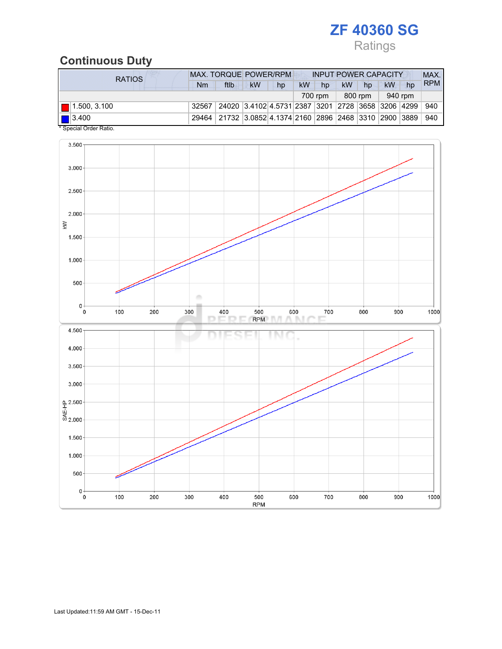# ZF 40360 SG

## Ratings

### Continuous Duty

| RATIOS                                                                  | <b>MAX. TORQUE POWER/RPM</b> |                                                         |           |    | <b>INPUT POWER CAPACITY</b> |         |           |         |         |    | MAX.       |
|-------------------------------------------------------------------------|------------------------------|---------------------------------------------------------|-----------|----|-----------------------------|---------|-----------|---------|---------|----|------------|
|                                                                         | Nm                           | ftlb                                                    | <b>kW</b> | hp | <b>kW</b>                   | hp      | <b>kW</b> | hp      | kW      | hp | <b>RPM</b> |
|                                                                         |                              |                                                         |           |    |                             | 700 rpm |           | 800 rpm | 940 rpm |    |            |
| $\blacksquare$ 1.500, 3.100                                             | 32567                        | 24020  3.4102 4.5731 2387  3201  2728  3658  3206  4299 |           |    |                             |         |           |         |         |    | 940        |
| $\blacksquare$ 3.400<br>$*$ 0 $\cdots$ . $\sim$ 0 $\cdots$ 0 $\cdots$ 0 |                              | 29464 21732 3.0852 4.1374 2160 2896 2468 3310 2900 3889 |           |    |                             |         |           |         |         |    | 940        |

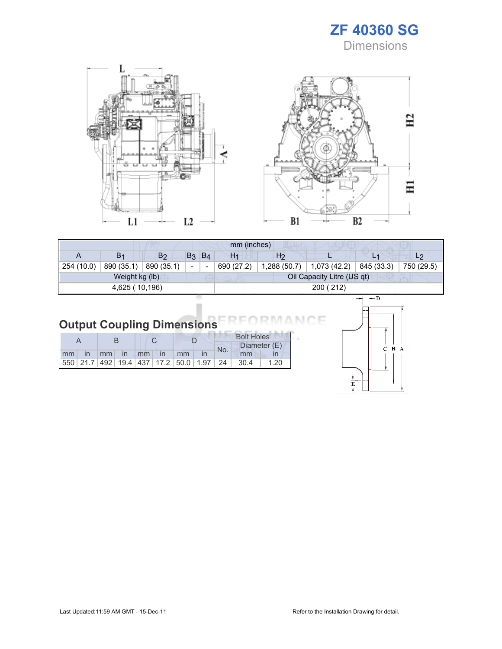





F

| mm (inches)    |                |                |                |       |                |                |                            |            |                |  |
|----------------|----------------|----------------|----------------|-------|----------------|----------------|----------------------------|------------|----------------|--|
| A              | B <sub>1</sub> | B <sub>2</sub> | B <sub>3</sub> | $B_4$ | H <sub>1</sub> | H <sub>2</sub> |                            | L1         | L <sub>2</sub> |  |
| 254 (10.0)     | 890 (35.1)     | 890 (35.1)     | -              |       | 690 (27.2)     | 1,288(50.7)    | 1,073 (42.2)               | 845 (33.3) | 750 (29.5)     |  |
| Weight kg (lb) |                |                |                |       |                |                | Oil Capacity Litre (US qt) |            |                |  |
| 4,625 (10,196) |                |                |                |       | 200 (212)      |                |                            |            |                |  |
|                |                |                |                |       |                |                |                            |            |                |  |

| <b>Output Coupling Dimensions</b> |  |  |
|-----------------------------------|--|--|

|    |                                                         |    |              |    |              |    |  | <b>Bolt Holes</b> |      |              |  |
|----|---------------------------------------------------------|----|--------------|----|--------------|----|--|-------------------|------|--------------|--|
|    |                                                         |    |              |    |              |    |  | No.               |      | Diameter (E) |  |
| mm |                                                         | mm | $\mathsf{I}$ | mm | $\mathsf{I}$ | mm |  |                   | mm   |              |  |
|    | 550   21.7   492   19.4   437   17.2   50.0   1.97   24 |    |              |    |              |    |  |                   | 30.4 | 1.20         |  |